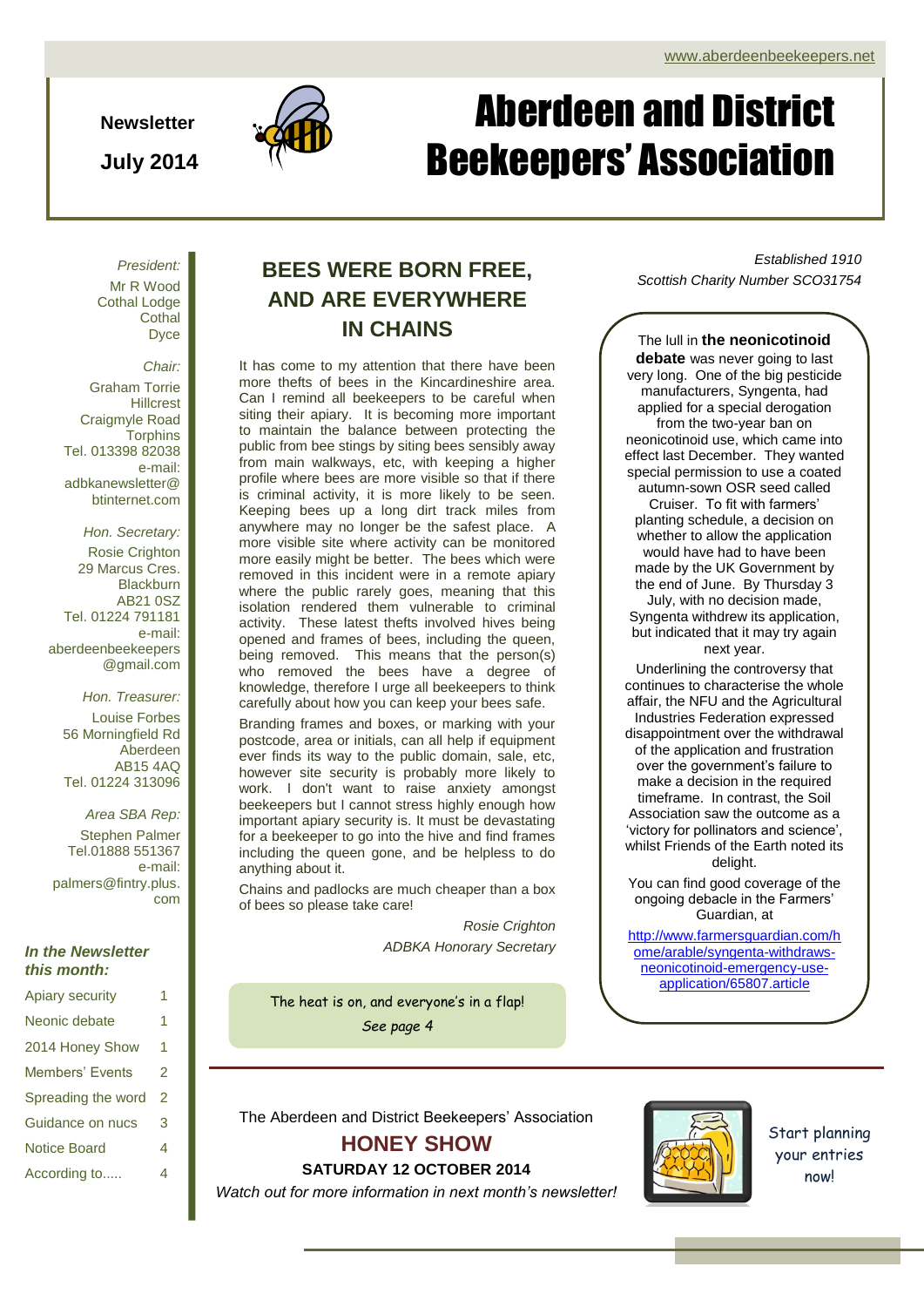**Newsletter**

**July 2014**



# Aberdeen and District Beekeepers' Association

*President:* Mr R Wood Cothal Lodge **Cothal D**vce

*Chair:*

Graham Torrie **Hillcrest** Craigmyle Road **Torphins** Tel. 013398 82038 e-mail: adbkanewsletter@ btinternet.com

*Hon. Secretary:* Rosie Crighton 29 Marcus Cres. **Blackburn** AB21 0SZ Tel. 01224 791181 e-mail: aberdeenbeekeepers @gmail.com

*Hon. Treasurer:* Louise Forbes 56 Morningfield Rd Aberdeen AB15 4AQ Tel. 01224 313096

*Area SBA Rep:* Stephen Palmer Tel.01888 551367 e-mail: palmers@fintry.plus. com

## *In the Newsletter this month:*

| <b>Apiary security</b> | 1 |
|------------------------|---|
| Neonic debate          | 1 |
| 2014 Honey Show        | 1 |
| Members' Events        | 2 |
| Spreading the word     | 2 |
| Guidance on nucs       | 3 |
| <b>Notice Board</b>    | 4 |
| According to           | 4 |
|                        |   |

# **AND ARE EVERYWHERE IN CHAINS**

It has come to my attention that there have been more thefts of bees in the Kincardineshire area. Can I remind all beekeepers to be careful when siting their apiary. It is becoming more important to maintain the balance between protecting the public from bee stings by siting bees sensibly away from main walkways, etc, with keeping a higher profile where bees are more visible so that if there is criminal activity, it is more likely to be seen. Keeping bees up a long dirt track miles from anywhere may no longer be the safest place. A more visible site where activity can be monitored more easily might be better. The bees which were removed in this incident were in a remote apiary where the public rarely goes, meaning that this isolation rendered them vulnerable to criminal activity. These latest thefts involved hives being opened and frames of bees, including the queen, being removed. This means that the person(s) who removed the bees have a degree of knowledge, therefore I urge all beekeepers to think carefully about how you can keep your bees safe.

Branding frames and boxes, or marking with your postcode, area or initials, can all help if equipment ever finds its way to the public domain, sale, etc, however site security is probably more likely to work. I don't want to raise anxiety amongst beekeepers but I cannot stress highly enough how important apiary security is. It must be devastating for a beekeeper to go into the hive and find frames including the queen gone, and be helpless to do anything about it.

Chains and padlocks are much cheaper than a box of bees so please take care!

> *Rosie Crighton ADBKA Honorary Secretary*

The heat is on, and everyone's in a flap! *See page 4*

*Established 1910* **BEES WERE BORN FREE,** *Scottish Charity Number SCO31754*

The lull in **the neonicotinoid debate** was never going to last very long. One of the big pesticide manufacturers, Syngenta, had applied for a special derogation from the two-year ban on neonicotinoid use, which came into effect last December. They wanted special permission to use a coated autumn-sown OSR seed called Cruiser. To fit with farmers' planting schedule, a decision on whether to allow the application would have had to have been made by the UK Government by the end of June. By Thursday 3 July, with no decision made, Syngenta withdrew its application, but indicated that it may try again next year.

Underlining the controversy that continues to characterise the whole affair, the NFU and the Agricultural Industries Federation expressed disappointment over the withdrawal of the application and frustration over the government's failure to make a decision in the required timeframe. In contrast, the Soil Association saw the outcome as a 'victory for pollinators and science', whilst Friends of the Earth noted its delight.

You can find good coverage of the ongoing debacle in the Farmers' Guardian, at

[http://www.farmersguardian.com/h](http://www.farmersguardian.com/home/arable/syngenta-withdraws-neonicotinoid-emergency-use-application/65807.article) [ome/arable/syngenta-withdraws](http://www.farmersguardian.com/home/arable/syngenta-withdraws-neonicotinoid-emergency-use-application/65807.article)[neonicotinoid-emergency-use](http://www.farmersguardian.com/home/arable/syngenta-withdraws-neonicotinoid-emergency-use-application/65807.article)[application/65807.article](http://www.farmersguardian.com/home/arable/syngenta-withdraws-neonicotinoid-emergency-use-application/65807.article)

The Aberdeen and District Beekeepers' Association

# **HONEY SHOW**

**SATURDAY 12 OCTOBER 2014** *Watch out for more information in next month's newsletter!*

Start planning your entries now!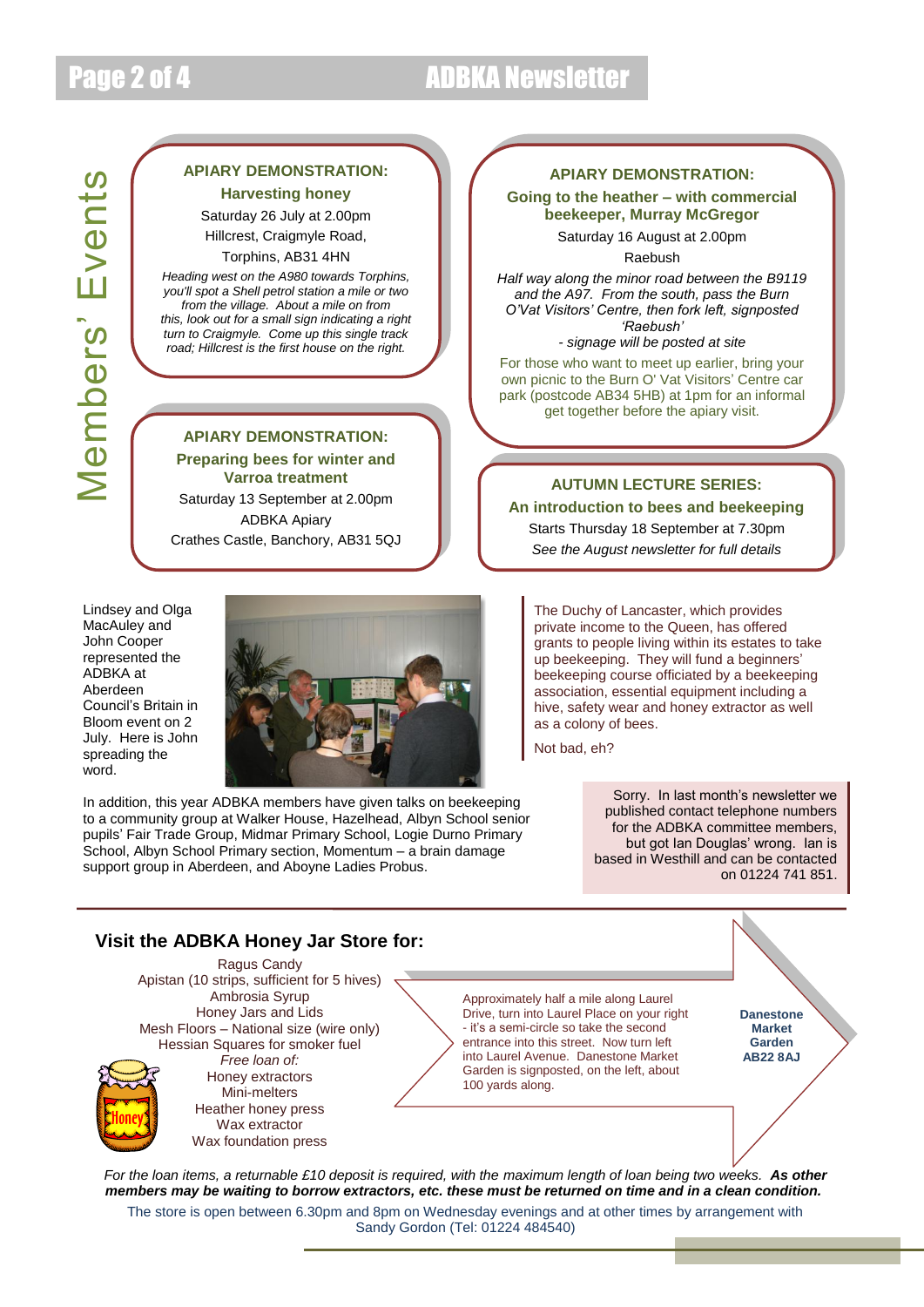# Page 2 of 4 ADBKA Newsletter

## **APIARY DEMONSTRATION: Harvesting honey**

Saturday 26 July at 2.00pm Hillcrest, Craigmyle Road,

Torphins, AB31 4HN

*Heading west on the A980 towards Torphins, you'll spot a Shell petrol station a mile or two from the village. About a mile on from this, look out for a small sign indicating a right turn to Craigmyle. Come up this single track road; Hillcrest is the first house on the right.*

**APIARY DEMONSTRATION: Preparing bees for winter and** 

**Varroa treatment** Saturday 13 September at 2.00pm ADBKA Apiary Crathes Castle, Banchory, AB31 5QJ

Lindsey and Olga MacAuley and John Cooper represented the ADBKA at Aberdeen Council's Britain in Bloom event on 2 July. Here is John spreading the word.



In addition, this year ADBKA members have given talks on beekeeping to a community group at Walker House, Hazelhead, Albyn School senior pupils' Fair Trade Group, Midmar Primary School, Logie Durno Primary School, Albyn School Primary section, Momentum – a brain damage support group in Aberdeen, and Aboyne Ladies Probus.

## **APIARY DEMONSTRATION:**

**Going to the heather – with commercial beekeeper, Murray McGregor**

> Saturday 16 August at 2.00pm Raebush

*Half way along the minor road between the B9119 and the A97. From the south, pass the Burn O'Vat Visitors' Centre, then fork left, signposted 'Raebush'*

*- signage will be posted at site* For those who want to meet up earlier, bring your own picnic to the Burn O' Vat Visitors' Centre car park (postcode AB34 5HB) at 1pm for an informal get together before the apiary visit.

# **AUTUMN LECTURE SERIES: An introduction to bees and beekeeping**

Starts Thursday 18 September at 7.30pm *See the August newsletter for full details*

The Duchy of Lancaster, which provides private income to the Queen, has offered grants to people living within its estates to take up beekeeping. They will fund a beginners' beekeeping course officiated by a beekeeping association, essential equipment including a hive, safety wear and honey extractor as well as a colony of bees.

Not bad, eh?

Sorry. In last month's newsletter we published contact telephone numbers for the ADBKA committee members, but got Ian Douglas' wrong. Ian is based in Westhill and can be contacted on 01224 741 851.

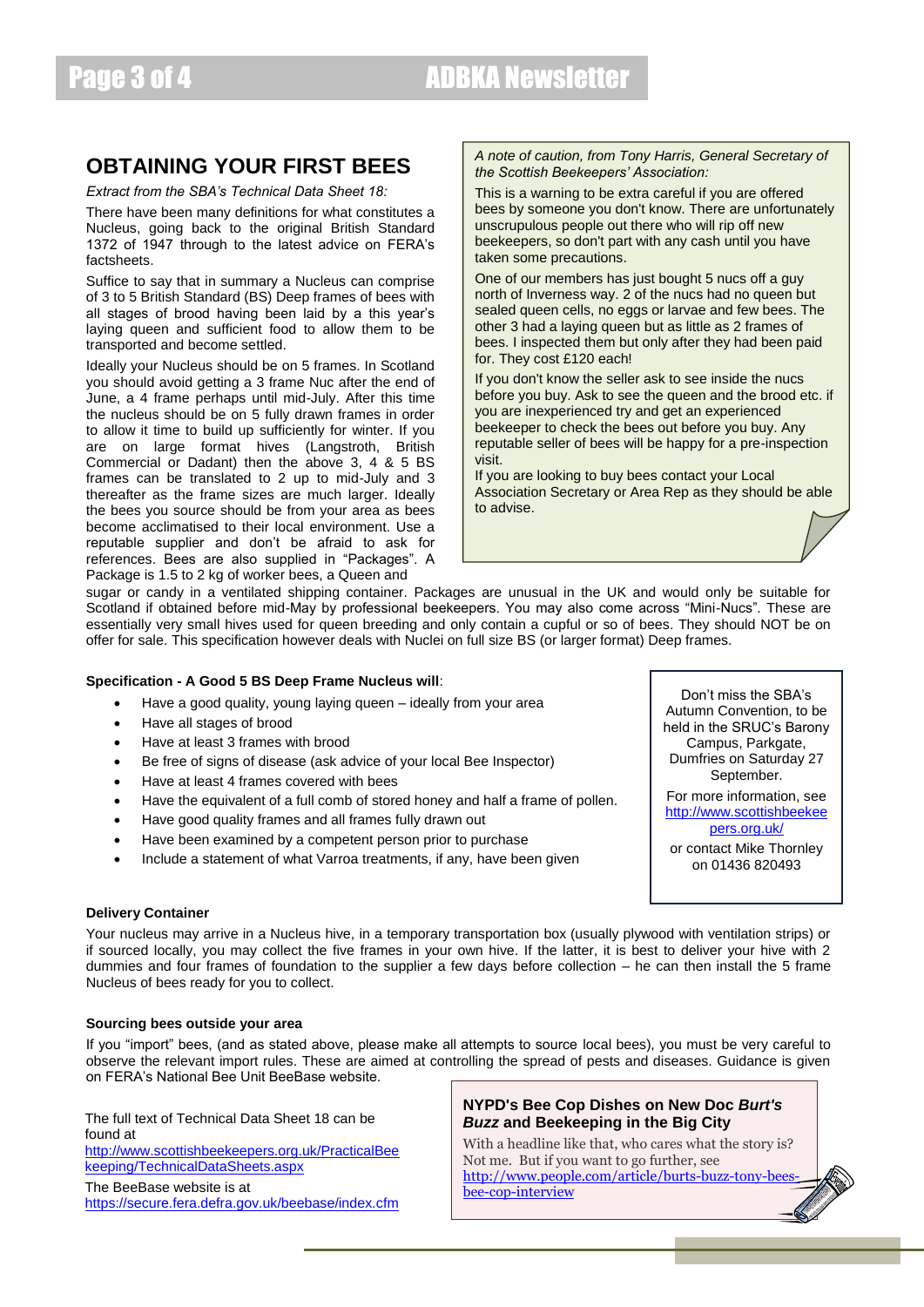## **OBTAINING YOUR FIRST BEES**

*Extract from the SBA's Technical Data Sheet 18:*

There have been many definitions for what constitutes a Nucleus, going back to the original British Standard 1372 of 1947 through to the latest advice on FERA's **factsheets** 

Suffice to say that in summary a Nucleus can comprise of 3 to 5 British Standard (BS) Deep frames of bees with all stages of brood having been laid by a this year's laying queen and sufficient food to allow them to be transported and become settled.

Ideally your Nucleus should be on 5 frames. In Scotland you should avoid getting a 3 frame Nuc after the end of June, a 4 frame perhaps until mid-July. After this time the nucleus should be on 5 fully drawn frames in order to allow it time to build up sufficiently for winter. If you are on large format hives (Langstroth, British Commercial or Dadant) then the above 3, 4 & 5 BS frames can be translated to 2 up to mid-July and 3 thereafter as the frame sizes are much larger. Ideally the bees you source should be from your area as bees become acclimatised to their local environment. Use a reputable supplier and don't be afraid to ask for references. Bees are also supplied in "Packages". A Package is 1.5 to 2 kg of worker bees, a Queen and

### *A note of caution, from Tony Harris, General Secretary of the Scottish Beekeepers' Association:*

This is a warning to be extra careful if you are offered bees by someone you don't know. There are unfortunately unscrupulous people out there who will rip off new beekeepers, so don't part with any cash until you have taken some precautions.

One of our members has just bought 5 nucs off a guy north of Inverness way. 2 of the nucs had no queen but sealed queen cells, no eggs or larvae and few bees. The other 3 had a laying queen but as little as 2 frames of bees. I inspected them but only after they had been paid for. They cost £120 each!

If you don't know the seller ask to see inside the nucs before you buy. Ask to see the queen and the brood etc. if you are inexperienced try and get an experienced beekeeper to check the bees out before you buy. Any reputable seller of bees will be happy for a pre-inspection visit.

If you are looking to buy bees contact your Local Association Secretary or Area Rep as they should be able to advise.

sugar or candy in a ventilated shipping container. Packages are unusual in the UK and would only be suitable for Scotland if obtained before mid-May by professional beekeepers. You may also come across "Mini-Nucs". These are essentially very small hives used for queen breeding and only contain a cupful or so of bees. They should NOT be on offer for sale. This specification however deals with Nuclei on full size BS (or larger format) Deep frames.

### **Specification - A Good 5 BS Deep Frame Nucleus will**:

- Have a good quality, young laying queen ideally from your area
- Have all stages of brood
- Have at least 3 frames with brood
- Be free of signs of disease (ask advice of your local Bee Inspector)
- Have at least 4 frames covered with bees
- Have the equivalent of a full comb of stored honey and half a frame of pollen.
- Have good quality frames and all frames fully drawn out
- Have been examined by a competent person prior to purchase
- Include a statement of what Varroa treatments, if any, have been given

Don't miss the SBA's Autumn Convention, to be held in the SRUC's Barony Campus, Parkgate, Dumfries on Saturday 27 September.

For more information, see [http://www.scottishbeekee](http://www.scottishbeekeepers.org.uk/) [pers.org.uk/](http://www.scottishbeekeepers.org.uk/)

or contact Mike Thornley on 01436 820493

#### **Delivery Container**

Your nucleus may arrive in a Nucleus hive, in a temporary transportation box (usually plywood with ventilation strips) or if sourced locally, you may collect the five frames in your own hive. If the latter, it is best to deliver your hive with 2 dummies and four frames of foundation to the supplier a few days before collection – he can then install the 5 frame Nucleus of bees ready for you to collect.

#### **Sourcing bees outside your area**

If you "import" bees, (and as stated above, please make all attempts to source local bees), you must be very careful to observe the relevant import rules. These are aimed at controlling the spread of pests and diseases. Guidance is given on FERA's National Bee Unit BeeBase website.

The full text of Technical Data Sheet 18 can be found at [http://www.scottishbeekeepers.org.uk/PracticalBee](http://www.scottishbeekeepers.org.uk/PracticalBeekeeping/TechnicalDataSheets.aspx) [keeping/TechnicalDataSheets.aspx](http://www.scottishbeekeepers.org.uk/PracticalBeekeeping/TechnicalDataSheets.aspx) The BeeBase website is at <https://secure.fera.defra.gov.uk/beebase/index.cfm>

## **NYPD's Bee Cop Dishes on New Doc** *Burt's Buzz* **and Beekeeping in the Big City**

With a headline like that, who cares what the story is? Not me. But if you want to go further, see [http://www.people.com/article/burts-buzz-tony-bees](http://www.people.com/article/burts-buzz-tony-bees-bee-cop-interview)[bee-cop-interview](http://www.people.com/article/burts-buzz-tony-bees-bee-cop-interview)